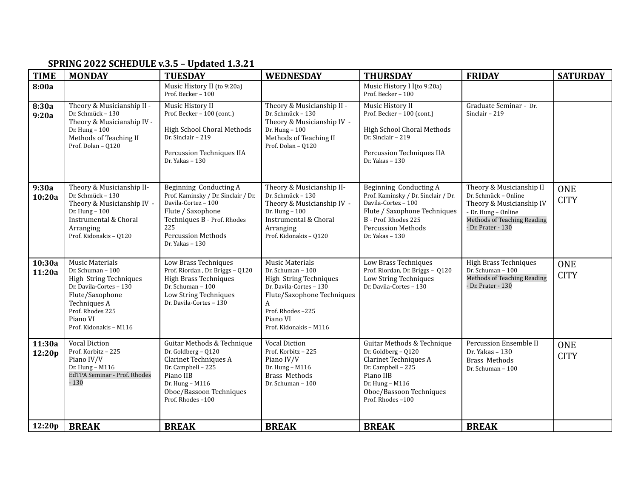| <b>TIME</b>      | <b>MONDAY</b>                                                                                                                                                                                 | <b>TUESDAY</b>                                                                                                                                                                                   | <b>WEDNESDAY</b>                                                                                                                                                                              | <b>THURSDAY</b>                                                                                                                                                                               | <b>FRIDAY</b>                                                                                                                                            | <b>SATURDAY</b>           |
|------------------|-----------------------------------------------------------------------------------------------------------------------------------------------------------------------------------------------|--------------------------------------------------------------------------------------------------------------------------------------------------------------------------------------------------|-----------------------------------------------------------------------------------------------------------------------------------------------------------------------------------------------|-----------------------------------------------------------------------------------------------------------------------------------------------------------------------------------------------|----------------------------------------------------------------------------------------------------------------------------------------------------------|---------------------------|
| 8:00a            |                                                                                                                                                                                               | Music History II (to 9:20a)<br>Prof. Becker - 100                                                                                                                                                |                                                                                                                                                                                               | Music History I I(to 9:20a)<br>Prof. Becker - 100                                                                                                                                             |                                                                                                                                                          |                           |
| 8:30a<br>9:20a   | Theory & Musicianship II -<br>Dr. Schmück - 130<br>Theory & Musicianship IV -<br>Dr. Hung - 100<br>Methods of Teaching II<br>Prof. Dolan - Q120                                               | Music History II<br>Prof. Becker - 100 (cont.)<br>High School Choral Methods<br>Dr. Sinclair - 219<br>Percussion Techniques IIA<br>Dr. Yakas - 130                                               | Theory & Musicianship II -<br>Dr. Schmück - 130<br>Theory & Musicianship IV -<br>Dr. Hung $-100$<br>Methods of Teaching II<br>Prof. Dolan - 0120                                              | Music History II<br>Prof. Becker - 100 (cont.)<br>High School Choral Methods<br>Dr. Sinclair - 219<br>Percussion Techniques IIA<br>Dr. Yakas - 130                                            | Graduate Seminar - Dr.<br>Sinclair - 219                                                                                                                 |                           |
| 9:30a<br>10:20a  | Theory & Musicianship II-<br>Dr. Schmück - 130<br>Theory & Musicianship IV -<br>Dr. Hung - 100<br>Instrumental & Choral<br>Arranging<br>Prof. Kidonakis - Q120                                | Beginning Conducting A<br>Prof. Kaminsky / Dr. Sinclair / Dr.<br>Davila-Cortez - 100<br>Flute / Saxophone<br>Techniques B - Prof. Rhodes<br>225<br><b>Percussion Methods</b><br>Dr. Yakas $-130$ | Theory & Musicianship II-<br>Dr. Schmück - 130<br>Theory & Musicianship IV -<br>Dr. Hung - 100<br>Instrumental & Choral<br>Arranging<br>Prof. Kidonakis - Q120                                | Beginning Conducting A<br>Prof. Kaminsky / Dr. Sinclair / Dr.<br>Davila-Cortez - 100<br>Flute / Saxophone Techniques<br>B - Prof. Rhodes 225<br><b>Percussion Methods</b><br>Dr. Yakas $-130$ | Theory & Musicianship II<br>Dr. Schmück - Online<br>Theory & Musicianship IV<br>- Dr. Hung - Online<br>Methods of Teaching Reading<br>- Dr. Prater - 130 | <b>ONE</b><br><b>CITY</b> |
| 10:30a<br>11:20a | <b>Music Materials</b><br>Dr. Schuman - 100<br>High String Techniques<br>Dr. Davila-Cortes - 130<br>Flute/Saxophone<br>Techniques A<br>Prof. Rhodes 225<br>Piano VI<br>Prof. Kidonakis - M116 | Low Brass Techniques<br>Prof. Riordan, Dr. Briggs - Q120<br><b>High Brass Techniques</b><br>Dr. Schuman - 100<br>Low String Techniques<br>Dr. Davila-Cortes - 130                                | <b>Music Materials</b><br>Dr. Schuman - 100<br>High String Techniques<br>Dr. Davila-Cortes - 130<br>Flute/Saxophone Techniques<br>A<br>Prof. Rhodes-225<br>Piano VI<br>Prof. Kidonakis - M116 | Low Brass Techniques<br>Prof. Riordan, Dr. Briggs - Q120<br>Low String Techniques<br>Dr. Davila-Cortes - 130                                                                                  | <b>High Brass Techniques</b><br>Dr. Schuman - 100<br>Methods of Teaching Reading<br>- Dr. Prater - 130                                                   | <b>ONE</b><br><b>CITY</b> |
| 11:30a<br>12:20p | <b>Vocal Diction</b><br>Prof. Korbitz - 225<br>Piano IV/V<br>Dr. Hung - M116<br>EdTPA Seminar - Prof. Rhodes<br>$-130$                                                                        | Guitar Methods & Technique<br>Dr. Goldberg - Q120<br>Clarinet Techniques A<br>Dr. Campbell - 225<br>Piano IIB<br>Dr. Hung - M116<br>Oboe/Bassoon Techniques<br>Prof. Rhodes-100                  | <b>Vocal Diction</b><br>Prof. Korbitz - 225<br>Piano IV/V<br>Dr. Hung - M116<br><b>Brass Methods</b><br>Dr. Schuman - 100                                                                     | Guitar Methods & Technique<br>Dr. Goldberg - Q120<br>Clarinet Techniques A<br>Dr. Campbell - 225<br>Piano IIB<br>Dr. Hung - M116<br>Oboe/Bassoon Techniques<br>Prof. Rhodes-100               | Percussion Ensemble II<br>Dr. Yakas - 130<br><b>Brass Methods</b><br>Dr. Schuman - 100                                                                   | <b>ONE</b><br><b>CITY</b> |
| 12:20p           | <b>BREAK</b>                                                                                                                                                                                  | <b>BREAK</b>                                                                                                                                                                                     | <b>BREAK</b>                                                                                                                                                                                  | <b>BREAK</b>                                                                                                                                                                                  | <b>BREAK</b>                                                                                                                                             |                           |

## **SPRING 2022 SCHEDULE v.3.5 – Updated 1.3.21**